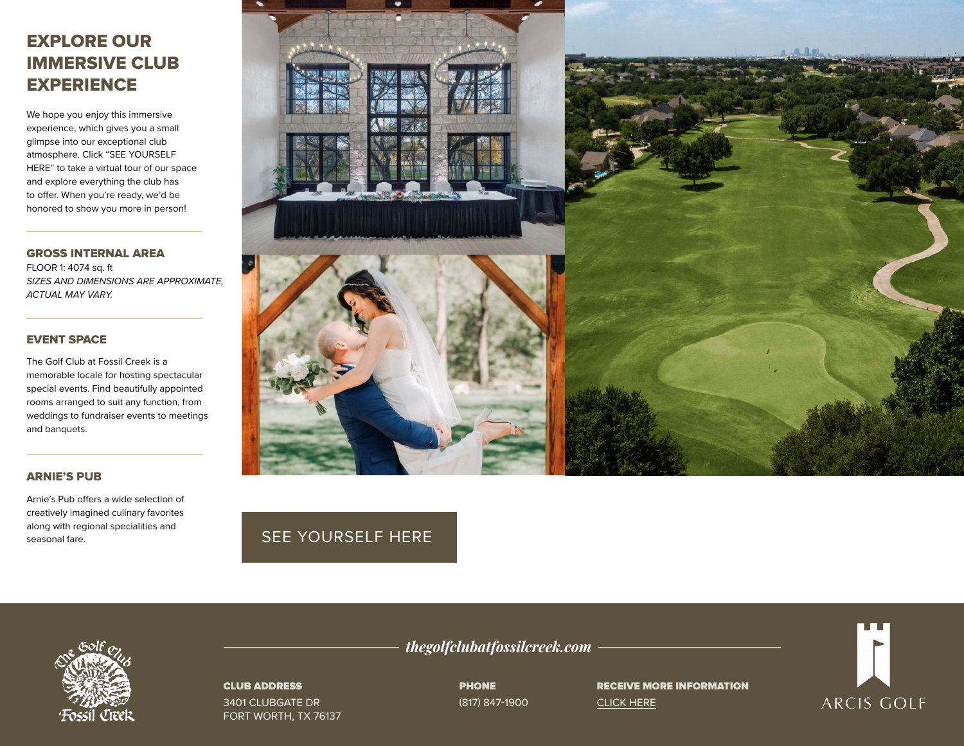# EXPLORE OUR IMMERSIVE CLUB **EXPERIENCE**

We hope you enjoy this immersive experience, which gives you a small glimpse into our exceptional club atmosphere. Click "SEE YOURSELF HERE" to take a virtual tour of our space and explore everything the club has to offer. When you're ready, we'd be honored to show you more in person!

GROSS INTERNAL AREA FLOOR 1: 4074 sq. ft *SIZES AND DIMENSIONS ARE APPROXIMATE, ACTUAL MAY VARY.*

## EVENT SPACE

The Golf Club at Fossil Creek is a memorable locale for hosting spectacular special events. Find beautifully appointed rooms arranged to suit any function, from weddings to fundraiser events to meetings and banquets.

### ARNIE'S PUB

Arnie's Pub offers a wide selection of creatively imagined culinary favorites along with regional specialities and seasonal fare.



## [SEE YOURSELF HERE](https://visitingmedia.com/tt8/?ttid=the-golf-club-at-fossil-creek#/3d-model)



### CLUB ADDRESS

3401 CLUBGATE DR FORT WORTH, TX 76137 *thegolfclubatfossilcreek.com*

PHONE (817) 847-1900 RECEIVE MORE INFORMATION [CLICK HERE](https://www.thegolfclubatfossilcreek.com/private-events-vm)